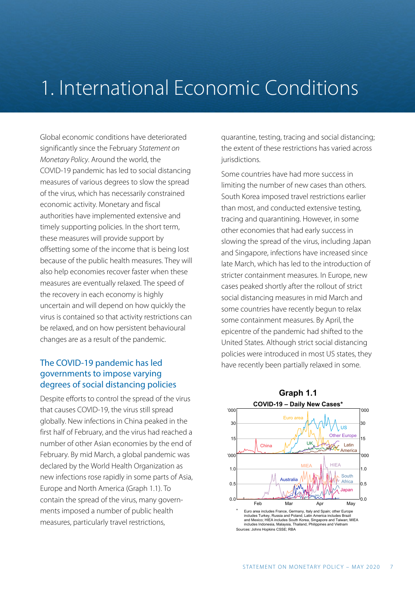## 1. International Economic Conditions

Global economic conditions have deteriorated significantly since the February *Statement on Monetary Policy*. Around the world, the COVID-19 pandemic has led to social distancing measures of various degrees to slow the spread of the virus, which has necessarily constrained economic activity. Monetary and fiscal authorities have implemented extensive and timely supporting policies. In the short term, these measures will provide support by offsetting some of the income that is being lost because of the public health measures. They will also help economies recover faster when these measures are eventually relaxed. The speed of the recovery in each economy is highly uncertain and will depend on how quickly the virus is contained so that activity restrictions can be relaxed, and on how persistent behavioural changes are as a result of the pandemic.

#### The COVID-19 pandemic has led governments to impose varying degrees of social distancing policies

Despite efforts to control the spread of the virus that causes COVID-19, the virus still spread globally. New infections in China peaked in the first half of February, and the virus had reached a number of other Asian economies by the end of February. By mid March, a global pandemic was declared by the World Health Organization as new infections rose rapidly in some parts of Asia, Europe and North America (Graph 1.1). To contain the spread of the virus, many governments imposed a number of public health measures, particularly travel restrictions,

quarantine, testing, tracing and social distancing; the extent of these restrictions has varied across jurisdictions.

Some countries have had more success in limiting the number of new cases than others. South Korea imposed travel restrictions earlier than most, and conducted extensive testing, tracing and quarantining. However, in some other economies that had early success in slowing the spread of the virus, including Japan and Singapore, infections have increased since late March, which has led to the introduction of stricter containment measures. In Europe, new cases peaked shortly after the rollout of strict social distancing measures in mid March and some countries have recently begun to relax some containment measures. By April, the epicentre of the pandemic had shifted to the United States. Although strict social distancing policies were introduced in most US states, they have recently been partially relaxed in some.

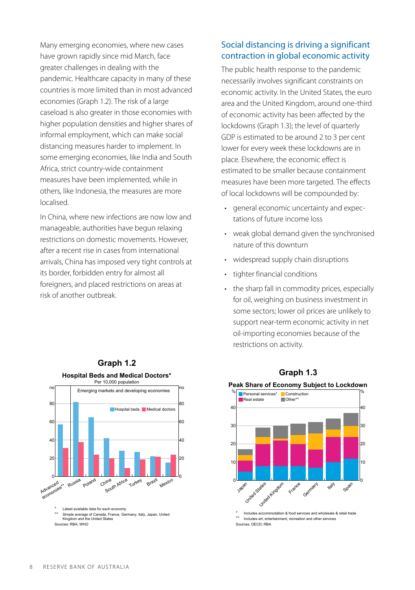Many emerging economies, where new cases have grown rapidly since mid March, face greater challenges in dealing with the pandemic. Healthcare capacity in many of these countries is more limited than in most advanced economies (Graph 1.2). The risk of a large caseload is also greater in those economies with higher population densities and higher shares of informal employment, which can make social distancing measures harder to implement. In some emerging economies, like India and South Africa, strict country-wide containment measures have been implemented, while in others, like Indonesia, the measures are more localised.

In China, where new infections are now low and manageable, authorities have begun relaxing restrictions on domestic movements. However, after a recent rise in cases from international arrivals, China has imposed very tight controls at its border, forbidden entry for almost all foreigners, and placed restrictions on areas at risk of another outbreak.

#### Social distancing is driving a significant contraction in global economic activity

The public health response to the pandemic necessarily involves significant constraints on economic activity. In the United States, the euro area and the United Kingdom, around one-third of economic activity has been affected by the lockdowns (Graph 1.3); the level of quarterly GDP is estimated to be around 2 to 3 per cent lower for every week these lockdowns are in place. Elsewhere, the economic effect is estimated to be smaller because containment measures have been more targeted. The effects of local lockdowns will be compounded by:

- general economic uncertainty and expectations of future income loss
- weak global demand given the synchronised nature of this downturn
- widespread supply chain disruptions
- tighter financial conditions
- the sharp fall in commodity prices, especially for oil, weighing on business investment in some sectors; lower oil prices are unlikely to support near-term economic activity in net oil-importing economies because of the restrictions on activity.



#### **Graph 1.3**



Includes accommodation & food services and wholesale & retail trade \*\* Includes art, entertainment, recreation and other services Sources: OECD; RBA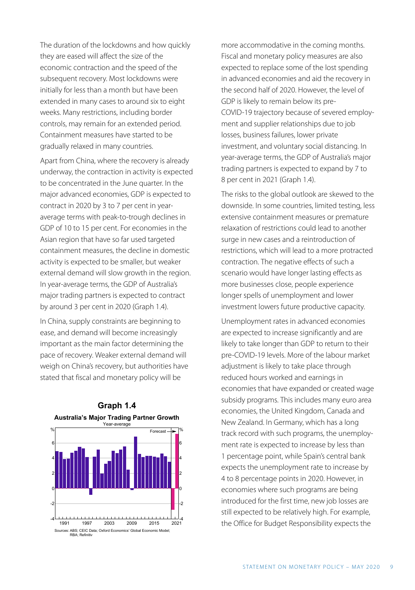The duration of the lockdowns and how quickly they are eased will affect the size of the economic contraction and the speed of the subsequent recovery. Most lockdowns were initially for less than a month but have been extended in many cases to around six to eight weeks. Many restrictions, including border controls, may remain for an extended period. Containment measures have started to be gradually relaxed in many countries.

Apart from China, where the recovery is already underway, the contraction in activity is expected to be concentrated in the June quarter. In the major advanced economies, GDP is expected to contract in 2020 by 3 to 7 per cent in yearaverage terms with peak-to-trough declines in GDP of 10 to 15 per cent. For economies in the Asian region that have so far used targeted containment measures, the decline in domestic activity is expected to be smaller, but weaker external demand will slow growth in the region. In year-average terms, the GDP of Australia's major trading partners is expected to contract by around 3 per cent in 2020 (Graph 1.4).

In China, supply constraints are beginning to ease, and demand will become increasingly important as the main factor determining the pace of recovery. Weaker external demand will weigh on China's recovery, but authorities have stated that fiscal and monetary policy will be





more accommodative in the coming months. Fiscal and monetary policy measures are also expected to replace some of the lost spending in advanced economies and aid the recovery in the second half of 2020. However, the level of GDP is likely to remain below its pre-COVID-19 trajectory because of severed employment and supplier relationships due to job losses, business failures, lower private investment, and voluntary social distancing. In year-average terms, the GDP of Australia's major trading partners is expected to expand by 7 to 8 per cent in 2021 (Graph 1.4).

The risks to the global outlook are skewed to the downside. In some countries, limited testing, less extensive containment measures or premature relaxation of restrictions could lead to another surge in new cases and a reintroduction of restrictions, which will lead to a more protracted contraction. The negative effects of such a scenario would have longer lasting effects as more businesses close, people experience longer spells of unemployment and lower investment lowers future productive capacity.

Unemployment rates in advanced economies are expected to increase significantly and are likely to take longer than GDP to return to their pre-COVID-19 levels. More of the labour market adjustment is likely to take place through reduced hours worked and earnings in economies that have expanded or created wage subsidy programs. This includes many euro area economies, the United Kingdom, Canada and New Zealand. In Germany, which has a long track record with such programs, the unemployment rate is expected to increase by less than 1 percentage point, while Spain's central bank expects the unemployment rate to increase by 4 to 8 percentage points in 2020. However, in economies where such programs are being introduced for the first time, new job losses are still expected to be relatively high. For example, the Office for Budget Responsibility expects the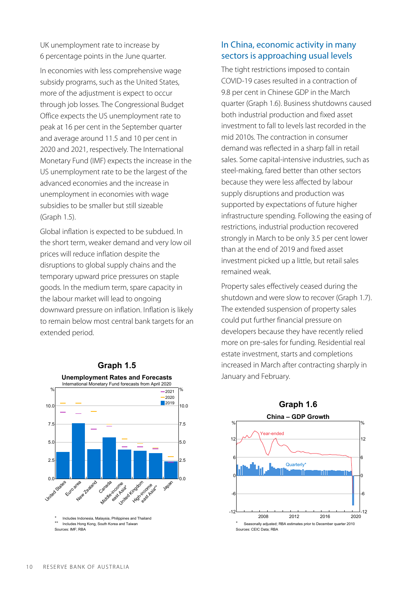UK unemployment rate to increase by 6 percentage points in the June quarter.

In economies with less comprehensive wage subsidy programs, such as the United States, more of the adjustment is expect to occur through job losses. The Congressional Budget Office expects the US unemployment rate to peak at 16 per cent in the September quarter and average around 11.5 and 10 per cent in 2020 and 2021, respectively. The International Monetary Fund (IMF) expects the increase in the US unemployment rate to be the largest of the advanced economies and the increase in unemployment in economies with wage subsidies to be smaller but still sizeable (Graph 1.5).

Global inflation is expected to be subdued. In the short term, weaker demand and very low oil prices will reduce inflation despite the disruptions to global supply chains and the temporary upward price pressures on staple goods. In the medium term, spare capacity in the labour market will lead to ongoing downward pressure on inflation. Inflation is likely to remain below most central bank targets for an extended period.



Sources: IMF; RBA

#### In China, economic activity in many sectors is approaching usual levels

The tight restrictions imposed to contain COVID-19 cases resulted in a contraction of 9.8 per cent in Chinese GDP in the March quarter (Graph 1.6). Business shutdowns caused both industrial production and fixed asset investment to fall to levels last recorded in the mid 2010s. The contraction in consumer demand was reflected in a sharp fall in retail sales. Some capital-intensive industries, such as steel-making, fared better than other sectors because they were less affected by labour supply disruptions and production was supported by expectations of future higher infrastructure spending. Following the easing of restrictions, industrial production recovered strongly in March to be only 3.5 per cent lower than at the end of 2019 and fixed asset investment picked up a little, but retail sales remained weak.

Property sales effectively ceased during the shutdown and were slow to recover (Graph 1.7). The extended suspension of property sales could put further financial pressure on developers because they have recently relied more on pre-sales for funding. Residential real estate investment, starts and completions increased in March after contracting sharply in January and February.

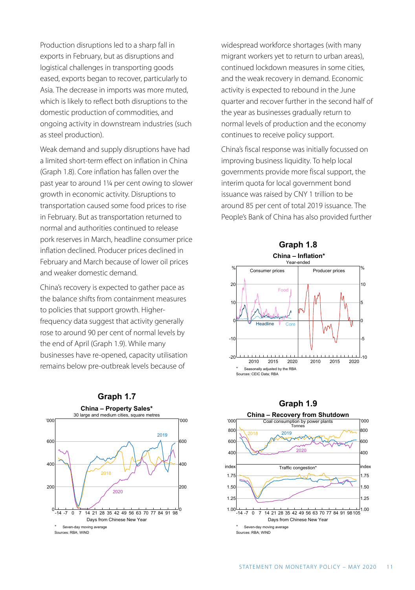Production disruptions led to a sharp fall in exports in February, but as disruptions and logistical challenges in transporting goods eased, exports began to recover, particularly to Asia. The decrease in imports was more muted, which is likely to reflect both disruptions to the domestic production of commodities, and ongoing activity in downstream industries (such as steel production).

Weak demand and supply disruptions have had a limited short-term effect on inflation in China (Graph 1.8). Core inflation has fallen over the past year to around 1¼ per cent owing to slower growth in economic activity. Disruptions to transportation caused some food prices to rise in February. But as transportation returned to normal and authorities continued to release pork reserves in March, headline consumer price inflation declined. Producer prices declined in February and March because of lower oil prices and weaker domestic demand.

China's recovery is expected to gather pace as the balance shifts from containment measures to policies that support growth. Higherfrequency data suggest that activity generally rose to around 90 per cent of normal levels by the end of April (Graph 1.9). While many businesses have re-opened, capacity utilisation remains below pre-outbreak levels because of



widespread workforce shortages (with many migrant workers yet to return to urban areas), continued lockdown measures in some cities, and the weak recovery in demand. Economic activity is expected to rebound in the June quarter and recover further in the second half of the year as businesses gradually return to normal levels of production and the economy continues to receive policy support.

China's fiscal response was initially focussed on improving business liquidity. To help local governments provide more fiscal support, the interim quota for local government bond issuance was raised by CNY 1 trillion to be around 85 per cent of total 2019 issuance. The People's Bank of China has also provided further



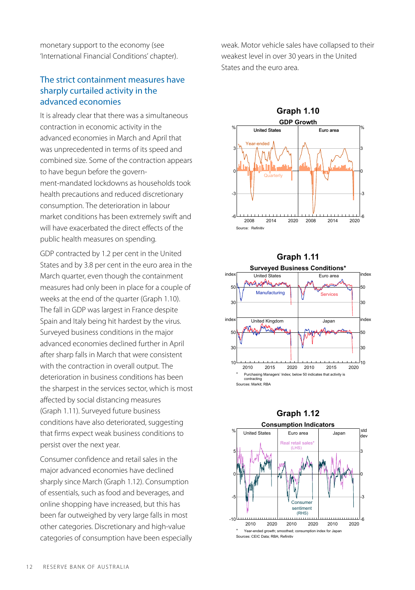monetary support to the economy (see 'International Financial Conditions' chapter).

#### The strict containment measures have sharply curtailed activity in the advanced economies

It is already clear that there was a simultaneous contraction in economic activity in the advanced economies in March and April that was unprecedented in terms of its speed and combined size. Some of the contraction appears to have begun before the government-mandated lockdowns as households took health precautions and reduced discretionary consumption. The deterioration in labour market conditions has been extremely swift and will have exacerbated the direct effects of the public health measures on spending.

GDP contracted by 1.2 per cent in the United States and by 3.8 per cent in the euro area in the March quarter, even though the containment measures had only been in place for a couple of weeks at the end of the quarter (Graph 1.10). The fall in GDP was largest in France despite Spain and Italy being hit hardest by the virus. Surveyed business conditions in the major advanced economies declined further in April after sharp falls in March that were consistent with the contraction in overall output. The deterioration in business conditions has been the sharpest in the services sector, which is most affected by social distancing measures (Graph 1.11). Surveyed future business conditions have also deteriorated, suggesting that firms expect weak business conditions to persist over the next year.

Consumer confidence and retail sales in the major advanced economies have declined sharply since March (Graph 1.12). Consumption of essentials, such as food and beverages, and online shopping have increased, but this has been far outweighed by very large falls in most other categories. Discretionary and high-value categories of consumption have been especially

weak. Motor vehicle sales have collapsed to their weakest level in over 30 years in the United States and the euro area.





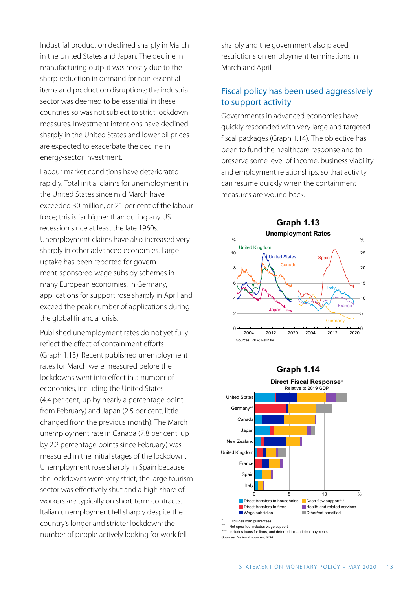Industrial production declined sharply in March in the United States and Japan. The decline in manufacturing output was mostly due to the sharp reduction in demand for non-essential items and production disruptions; the industrial sector was deemed to be essential in these countries so was not subject to strict lockdown measures. Investment intentions have declined sharply in the United States and lower oil prices are expected to exacerbate the decline in energy-sector investment.

Labour market conditions have deteriorated rapidly. Total initial claims for unemployment in the United States since mid March have exceeded 30 million, or 21 per cent of the labour force; this is far higher than during any US recession since at least the late 1960s. Unemployment claims have also increased very sharply in other advanced economies. Large uptake has been reported for government-sponsored wage subsidy schemes in many European economies. In Germany, applications for support rose sharply in April and exceed the peak number of applications during the global financial crisis.

Published unemployment rates do not yet fully reflect the effect of containment efforts (Graph 1.13). Recent published unemployment rates for March were measured before the lockdowns went into effect in a number of economies, including the United States (4.4 per cent, up by nearly a percentage point from February) and Japan (2.5 per cent, little changed from the previous month). The March unemployment rate in Canada (7.8 per cent, up by 2.2 percentage points since February) was measured in the initial stages of the lockdown. Unemployment rose sharply in Spain because the lockdowns were very strict, the large tourism sector was effectively shut and a high share of workers are typically on short-term contracts. Italian unemployment fell sharply despite the country's longer and stricter lockdown; the number of people actively looking for work fell

sharply and the government also placed restrictions on employment terminations in March and April.

#### Fiscal policy has been used aggressively to support activity

Governments in advanced economies have quickly responded with very large and targeted fiscal packages (Graph 1.14). The objective has been to fund the healthcare response and to preserve some level of income, business viability and employment relationships, so that activity can resume quickly when the containment measures are wound back.







Sources: National sources; RBA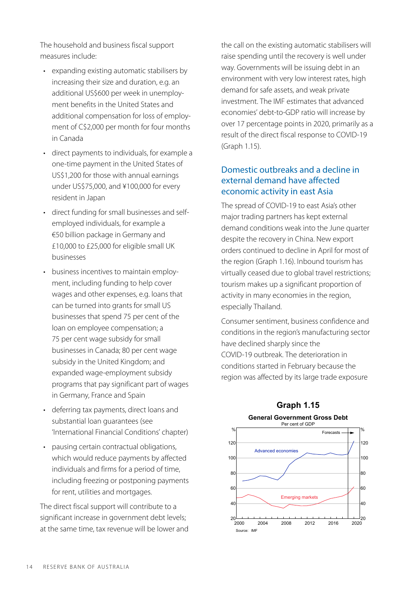The household and business fiscal support measures include:

- expanding existing automatic stabilisers by increasing their size and duration, e.g. an additional US\$600 per week in unemployment benefits in the United States and additional compensation for loss of employment of C\$2,000 per month for four months in Canada
- direct payments to individuals, for example a one-time payment in the United States of US\$1,200 for those with annual earnings under US\$75,000, and ¥100,000 for every resident in Japan
- direct funding for small businesses and selfemployed individuals, for example a €50 billion package in Germany and £10,000 to £25,000 for eligible small UK businesses
- business incentives to maintain employment, including funding to help cover wages and other expenses, e.g. loans that can be turned into grants for small US businesses that spend 75 per cent of the loan on employee compensation; a 75 per cent wage subsidy for small businesses in Canada; 80 per cent wage subsidy in the United Kingdom; and expanded wage-employment subsidy programs that pay significant part of wages in Germany, France and Spain
- deferring tax payments, direct loans and substantial loan guarantees (see 'International Financial Conditions' chapter)
- pausing certain contractual obligations, which would reduce payments by affected individuals and firms for a period of time, including freezing or postponing payments for rent, utilities and mortgages.

The direct fiscal support will contribute to a significant increase in government debt levels; at the same time, tax revenue will be lower and the call on the existing automatic stabilisers will raise spending until the recovery is well under way. Governments will be issuing debt in an environment with very low interest rates, high demand for safe assets, and weak private investment. The IMF estimates that advanced economies' debt-to-GDP ratio will increase by over 17 percentage points in 2020, primarily as a result of the direct fiscal response to COVID-19 (Graph 1.15).

#### Domestic outbreaks and a decline in external demand have affected economic activity in east Asia

The spread of COVID-19 to east Asia's other major trading partners has kept external demand conditions weak into the June quarter despite the recovery in China. New export orders continued to decline in April for most of the region (Graph 1.16). Inbound tourism has virtually ceased due to global travel restrictions; tourism makes up a significant proportion of activity in many economies in the region, especially Thailand.

Consumer sentiment, business confidence and conditions in the region's manufacturing sector have declined sharply since the COVID-19 outbreak. The deterioration in conditions started in February because the region was affected by its large trade exposure



#### **Graph 1.15 General Government Gross Debt**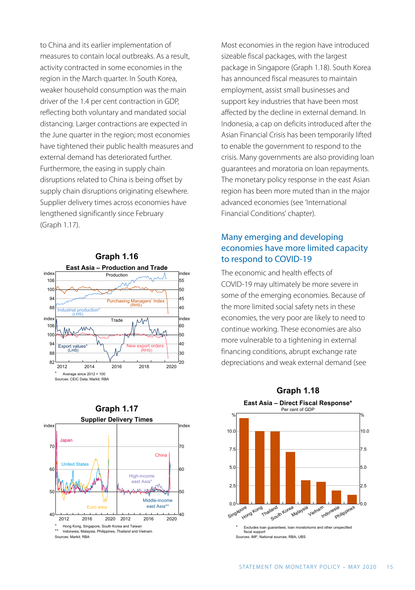to China and its earlier implementation of measures to contain local outbreaks. As a result, activity contracted in some economies in the region in the March quarter. In South Korea, weaker household consumption was the main driver of the 1.4 per cent contraction in GDP, reflecting both voluntary and mandated social distancing. Larger contractions are expected in the June quarter in the region; most economies have tightened their public health measures and external demand has deteriorated further. Furthermore, the easing in supply chain disruptions related to China is being offset by supply chain disruptions originating elsewhere. Supplier delivery times across economies have lengthened significantly since February (Graph 1.17).





Most economies in the region have introduced sizeable fiscal packages, with the largest package in Singapore (Graph 1.18). South Korea has announced fiscal measures to maintain employment, assist small businesses and support key industries that have been most affected by the decline in external demand. In Indonesia, a cap on deficits introduced after the Asian Financial Crisis has been temporarily lifted to enable the government to respond to the crisis. Many governments are also providing loan guarantees and moratoria on loan repayments. The monetary policy response in the east Asian region has been more muted than in the major advanced economies (see 'International Financial Conditions' chapter).

#### Many emerging and developing economies have more limited capacity to respond to COVID-19

The economic and health effects of COVID-19 may ultimately be more severe in some of the emerging economies. Because of the more limited social safety nets in these economies, the very poor are likely to need to continue working. These economies are also more vulnerable to a tightening in external financing conditions, abrupt exchange rate depreciations and weak external demand (see

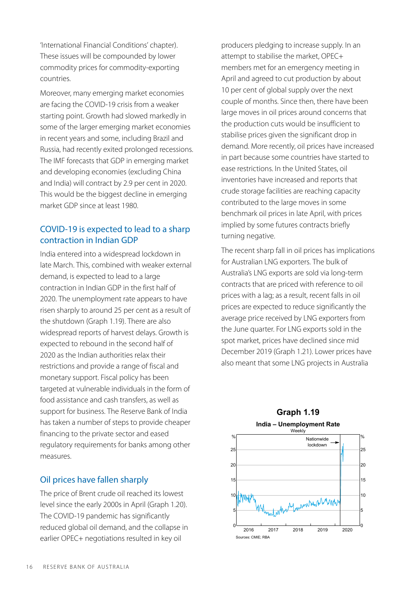'International Financial Conditions' chapter). These issues will be compounded by lower commodity prices for commodity-exporting countries.

Moreover, many emerging market economies are facing the COVID-19 crisis from a weaker starting point. Growth had slowed markedly in some of the larger emerging market economies in recent years and some, including Brazil and Russia, had recently exited prolonged recessions. The IMF forecasts that GDP in emerging market and developing economies (excluding China and India) will contract by 2.9 per cent in 2020. This would be the biggest decline in emerging market GDP since at least 1980.

#### COVID-19 is expected to lead to a sharp contraction in Indian GDP

India entered into a widespread lockdown in late March. This, combined with weaker external demand, is expected to lead to a large contraction in Indian GDP in the first half of 2020. The unemployment rate appears to have risen sharply to around 25 per cent as a result of the shutdown (Graph 1.19). There are also widespread reports of harvest delays. Growth is expected to rebound in the second half of 2020 as the Indian authorities relax their restrictions and provide a range of fiscal and monetary support. Fiscal policy has been targeted at vulnerable individuals in the form of food assistance and cash transfers, as well as support for business. The Reserve Bank of India has taken a number of steps to provide cheaper financing to the private sector and eased regulatory requirements for banks among other measures.

#### Oil prices have fallen sharply

The price of Brent crude oil reached its lowest level since the early 2000s in April (Graph 1.20). The COVID-19 pandemic has significantly reduced global oil demand, and the collapse in earlier OPEC+ negotiations resulted in key oil

producers pledging to increase supply. In an attempt to stabilise the market, OPEC+ members met for an emergency meeting in April and agreed to cut production by about 10 per cent of global supply over the next couple of months. Since then, there have been large moves in oil prices around concerns that the production cuts would be insufficient to stabilise prices given the significant drop in demand. More recently, oil prices have increased in part because some countries have started to ease restrictions. In the United States, oil inventories have increased and reports that crude storage facilities are reaching capacity contributed to the large moves in some benchmark oil prices in late April, with prices implied by some futures contracts briefly turning negative.

The recent sharp fall in oil prices has implications for Australian LNG exporters. The bulk of Australia's LNG exports are sold via long-term contracts that are priced with reference to oil prices with a lag; as a result, recent falls in oil prices are expected to reduce significantly the average price received by LNG exporters from the June quarter. For LNG exports sold in the spot market, prices have declined since mid December 2019 (Graph 1.21). Lower prices have also meant that some LNG projects in Australia

#### **Graph 1.19 India – Unemployment Rate**

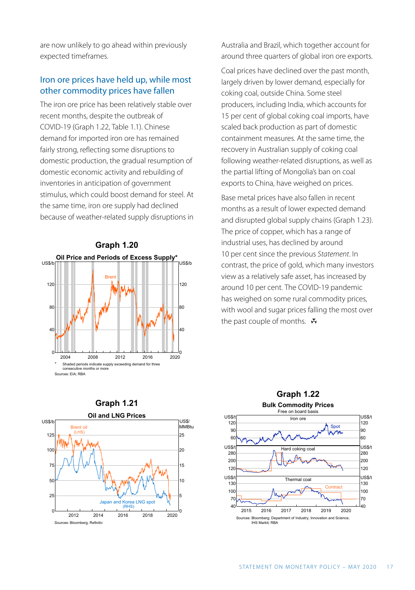are now unlikely to go ahead within previously expected timeframes.

#### Iron ore prices have held up, while most other commodity prices have fallen

The iron ore price has been relatively stable over recent months, despite the outbreak of COVID-19 (Graph 1.22, Table 1.1). Chinese demand for imported iron ore has remained fairly strong, reflecting some disruptions to domestic production, the gradual resumption of domestic economic activity and rebuilding of inventories in anticipation of government stimulus, which could boost demand for steel. At the same time, iron ore supply had declined because of weather-related supply disruptions in



Australia and Brazil, which together account for around three quarters of global iron ore exports.

Coal prices have declined over the past month, largely driven by lower demand, especially for coking coal, outside China. Some steel producers, including India, which accounts for 15 per cent of global coking coal imports, have scaled back production as part of domestic containment measures. At the same time, the recovery in Australian supply of coking coal following weather-related disruptions, as well as the partial lifting of Mongolia's ban on coal exports to China, have weighed on prices.

Base metal prices have also fallen in recent months as a result of lower expected demand and disrupted global supply chains (Graph 1.23). The price of copper, which has a range of industrial uses, has declined by around 10 per cent since the previous *Statement*. In contrast, the price of gold, which many investors view as a relatively safe asset, has increased by around 10 per cent. The COVID-19 pandemic has weighed on some rural commodity prices, with wool and sugar prices falling the most over the past couple of months.  $\mathbf{\bar{v}}$